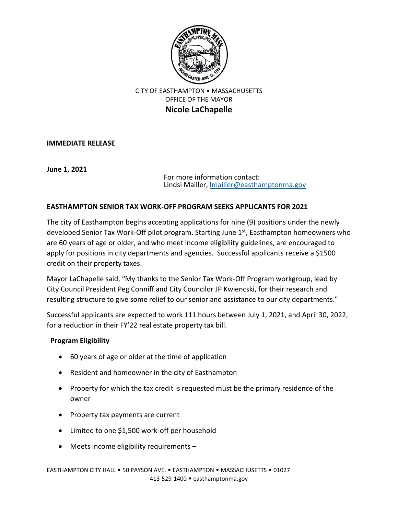

## CITY OF EASTHAMPTON • MASSACHUSETTS OFFICE OF THE MAYOR **Nicole LaChapelle**

**IMMEDIATE RELEASE**

**June 1, 2021**

For more information contact: Lindsi Mailler[, lmailler@easthamptonma.gov](mailto:lmailler@easthamptonma.gov)

## **EASTHAMPTON SENIOR TAX WORK-OFF PROGRAM SEEKS APPLICANTS FOR 2021**

The city of Easthampton begins accepting applications for nine (9) positions under the newly developed Senior Tax Work-Off pilot program. Starting June  $1<sup>st</sup>$ , Easthampton homeowners who are 60 years of age or older, and who meet income eligibility guidelines, are encouraged to apply for positions in city departments and agencies. Successful applicants receive a \$1500 credit on their property taxes.

Mayor LaChapelle said, "My thanks to the Senior Tax Work-Off Program workgroup, lead by City Council President Peg Conniff and City Councilor JP Kwiencski, for their research and resulting structure to give some relief to our senior and assistance to our city departments."

Successful applicants are expected to work 111 hours between July 1, 2021, and April 30, 2022, for a reduction in their FY'22 real estate property tax bill.

## **Program Eligibility**

- 60 years of age or older at the time of application
- Resident and homeowner in the city of Easthampton
- Property for which the tax credit is requested must be the primary residence of the owner
- Property tax payments are current
- Limited to one \$1,500 work-off per household
- Meets income eligibility requirements –